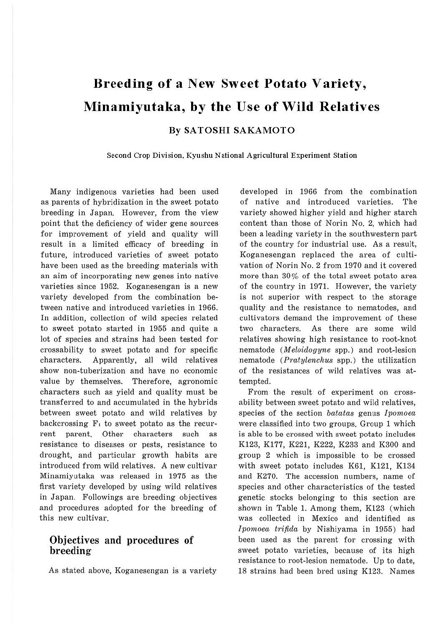# **Breeding of a New Sweet Potato Variety, Minamiyutaka, by the Use of Wild Relatives**

**BySATOSHISAKAMOTO** 

**Second Crop Division, Kyushu National Agricultural Experiment Station** 

Many indigenous varieties had been used as parents of hybridization in the sweet potato breeding in Japan. However, from the view point that the deficiency of wider gene sources for improvement of yield and quality will result in a limited efficacy of breeding in future, introduced varieties of sweet potato have been used as the breeding materials with an aim of incorporating new genes into native varieties since 1952. Koganesengan is a new variety developed from the combination between native and introduced varieties in 1966. In addition, collection of wild species related to sweet potato started in 1955 and quite a lot of species and strains had been tested for crossability to sweet potato and for specific characters. Apparently, all wild relatives show non-tuberization and have no economic value by themselves. Therefore, agronomic characters such as yield and quality must be transferred to and accumulated in the hybrids between sweet potato and wild relatives by backcrossing  $F_1$  to sweet potato as the recurrent parent. Other characters such as resistance to diseases or pests, resistance to drought, and particular growth habits are introduced from wild relatives. A new cultivar Minamiyutaka was released in 1975 as the first variety developed by using wild relatives in Japan. Followings are breeding objectives and procedures adopted for the breeding of this new cultivar.

## Objectives **and procedures of breeding**

As stated above, Koganesengan is a variety

developed in 1966 from the combination of native and introduced varieties. The variety showed higher yield and higher starch content than those of Norin No. 2, which had been a leading variety in the southwestern part of the country for industrial use. As a result, Koganesengan replaced the area of cultivation of Norin No. 2 from 1970 and it covered more than 30% of the total sweet potato area of the country in 1971. However, the variety is not superior with respect to the storage quality and the resistance to nematodes, and cultivators demand the improvement of these two characters. As there are some wild relatives showing high resistance to root-knot nematode ( $Meloidogyne$  spp.) and root-lesion nematode (Pratylenchus spp.) the utilization of the resistances of wild relatives was attempted.

From the result of experiment on crossability between sweet potato and wild relatives, species of the section batatas genus Ipomoea were classified into two groups. Group 1 which is able to be crossed with sweet potato includes K123, K177, K221, K222, K233 and K300 and group 2 which is impossible to be crossed with sweet potato includes K61, Kl21, K134 and K270. The accession numbers, name of species and other characteristics of the tested genetic stocks belonging to this section are shown in Table 1. Among them, K123 (which was collected in Mexico and identified as Ipomoea trifida by Nishiyama in 1955) had been used as the parent for crossing with sweet potato varieties, because of its high resistance to root-lesion nematode. Up to date, 18 strains had been bred using K123. Names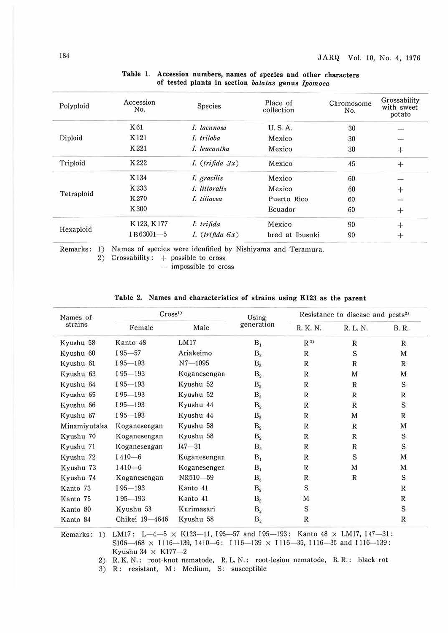| Polyploid  | Accession<br>No. | <b>Species</b>       | Place of<br>collection | Chromosome<br>No. | Grossability<br>with sweet<br>potato |
|------------|------------------|----------------------|------------------------|-------------------|--------------------------------------|
|            | K61              | I. lacunosa          | <b>U.S.A.</b>          | 30                |                                      |
| Diploid    | K121             | I. triloba           | Mexico                 | 30                | $-1$                                 |
|            | K221             | I. leucantha         | Mexico                 | 30                | $+$                                  |
| Triploid   | K222             | $I.$ (trifida $3x$ ) | Mexico                 | 45                | $+$                                  |
| Tetraploid | K134             | I. gracilis          | Mexico                 | 60                | $\sim$                               |
|            | K233             | I. littoralis        | Mexico                 | 60                | $+$                                  |
|            | K270             | I. tiliacea          | Puerto Rico            | 60                | <b>SAN</b>                           |
|            | K300             |                      | Ecuador                | 60                | $+$                                  |
| Hexaploid  | K123, K177       | I. trifida           | Mexico                 | 90                | $+$                                  |
|            | IB63001-5        | I. $(trifida \, 6x)$ | bred at Ibusuki        | 90                | $\pm$                                |
|            |                  |                      |                        |                   |                                      |

#### Table 1. Accession numbers, names of species and other characters of tested plants in section *batatas* genus *lpomoea*

Remarks: 1) Names of species were identified by Nishiyama and Teramura.

2) Crossability: + possible to cross

 $-$  impossible to cross

| Names of     | Cross <sup>1</sup> |              | Using          | Resistance to disease and pests <sup>2)</sup> |              |              |
|--------------|--------------------|--------------|----------------|-----------------------------------------------|--------------|--------------|
| strains      | Female             | Male         | generation     | R. K. N.                                      | R. L. N.     | <b>B.</b> R. |
| Kyushu 58    | Kanto 48           | LM17         | $B_1$          | $R^{3)}$                                      | ${\bf R}$    | $\mathbb{R}$ |
| Kyushu 60    | $195 - 57$         | Ariakeimo    | B <sub>2</sub> | R                                             | S            | M            |
| Kyushu 61    | $195 - 193$        | $N7 - 1095$  | $B_{2}$        | R                                             | $\mathbb R$  | R            |
| Kyushu 63    | $195 - 193$        | Koganesengan | $B_{2}$        | R                                             | M            | M            |
| Kyushu 64    | $195 - 193$        | Kyushu 52    | $B_{2}$        | $\mathbb{R}$                                  | $\mathbb{R}$ | S            |
| Kyushu 65    | $195 - 193$        | Kyushu 52    | $B_{2}$        | R                                             | $\mathbb{R}$ | $\mathbb{R}$ |
| Kyushu 66    | $195 - 193$        | Kyushu 44    | $B_{2}$        | R                                             | $\mathbb{R}$ | S            |
| Kyushu 67    | $195 - 193$        | Kyushu 44    | B <sub>2</sub> | R                                             | M            | $\mathbb R$  |
| Minamiyutaka | Koganesengan       | Kyushu 58    | B <sub>2</sub> | R                                             | $\mathbb R$  | M            |
| Kyushu 70    | Koganesengan       | Kyushu 58    | B <sub>2</sub> | $\mathbb{R}$                                  | $\mathbb R$  | S            |
| Kyushu 71    | Koganesengan       | $I47 - 31$   | B <sub>2</sub> | R                                             | $\mathbb R$  | S            |
| Kyushu 72    | $1410 - 6$         | Koganesengan | $B_1$          | R                                             | S            | M            |
| Kyushu 73    | $1410 - 6$         | Koganesengen | $B_1$          | R                                             | M            | M            |
| Kyushu 74    | Koganesengan       | NR510-59     | $B_3$          | R                                             | $\mathbb{R}$ | S            |
| Kanto 73     | $I95 - 193$        | Kanto 41     | $B_{2}$        | S                                             |              | $\mathbb R$  |
| Kanto 75     | $195 - 193$        | Kanto 41     | $B_{2}$        | M                                             |              | $\mathbb{R}$ |
| Kanto 80     | Kyushu 58          | Kurimasari   | B <sub>2</sub> | S                                             |              | S            |
| Kanto 84     | Chikei 19-4646     | Kyushu 58    | B <sub>2</sub> | R                                             |              | $\mathbb{R}$ |

#### **Table 2. Names and characteristics of strains using Kl23 as the parent**

Remarks: 1) LM17: L-4-5  $\times$  K123-11, 195-57 and 195-193: Kanto 48  $\times$  LM17, 147-31: S106-468  $\times$  I116-139, I410-6: I116-139  $\times$  I116-35, I116-35 and I116-139: Kyushu 34  $\times$  K177-2

2) R.K.N.: root-knot nematode, R. L. N.: root-lesion nematode, B. R.: black rot

3) R: resistant, **M:** Medium, S: susceptible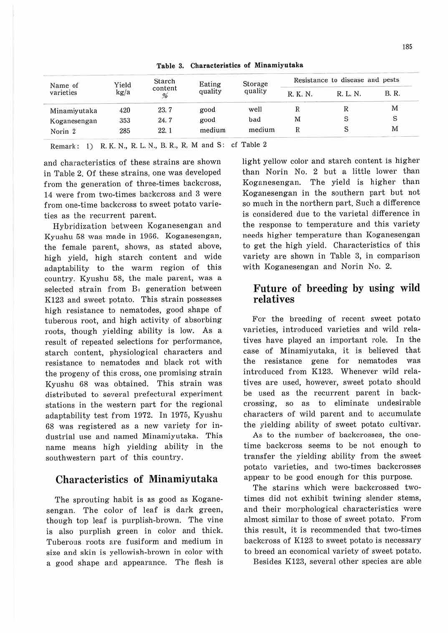| Name of<br>varieties | Yield<br>kg/a | Starch<br>content<br>% | Eating<br>quality | Storage<br>quality | Resistance to disease and pests |          |              |
|----------------------|---------------|------------------------|-------------------|--------------------|---------------------------------|----------|--------------|
|                      |               |                        |                   |                    | R. K. N.                        | R. L. N. | <b>B.</b> R. |
| Minamiyutaka         | 420           | 23.7                   | good              | well               | R                               | R        | M            |
| Koganesengan         | 353           | 24.7                   | good              | bad                | M                               | S        | S            |
| Norin <sub>2</sub>   | 285           | 22.1                   | medium            | medium             | R                               | $\rm S$  | M            |

**Table** 3. **Characteristics of Minamiyutaka** 

Remark: 1) R. K. N., R. L. N., B. R., R. M and S: cf Table 2

and characteristics of these strains are shown in Table 2. Of these strains, one was developed from the generation of three-times backcross, 14 were from two-times backcross and 3 were from one-time backcross to sweet potato varieties as the recurrent parent.

Hybridization between Koganesengan and Kyushu 58 was made in 1966. Koganesengan, the female parent, shows, as stated above, high yield, high starch content and wide adaptability to the warm region of this country. Kyushu 58, the male parent, was a selected strain from B, generation between K123 and sweet potato. This strain possesses high resistance to nematodes, good shape of tuberous root, and high activity of absorbing roots, though yielding ability is low. As a result of repeated selections for performance, starch content, physiological characters and resistance to nematodes and black rot with the progeny of this cross, one promising strain Kyushu 68 was obtained. This strain was distributed to several prefectural experiment stations in the western part for the regional adaptability test from 1972. In 1975, Kyushu 68 was registered as a new variety for industrial use and named Minamiyutaka. This name means high yielding ability in the southwestern part of this country.

### Characteristics of Minamiyutaka

The sprouting habit is as good as Koganesengan. The color of leaf is dark green, though top leaf is purplish-brown. The vine is also purplish green in color and thick. Tuberous roots are fusiform and medium in size and skin is yellowish-brown in color with a good shape and appearance. The flesh is light yellow color and starch content is higher than Norin No. 2 but a little lower than Koganesengan. The yield is higher than Koganesengan in the southern part but not so much in the northern part. Such a difference is considered due to the varietal difference in the response to temperature and this variety needs higher temperature than Koganesengan to get the high yield. Characteristics of this variety are shown in Table 3, in comparison with Koganesengan and Norin No. 2.

# Future of breeding by using wild relatives

For the breeding of recent sweet potato varieties, introduced varieties and wild relatives have played an important role. In the case of Minamiyutaka, it is believed that the resistance gene for nematodes was introduced from K123. Whenever wild relatives are used, however, sweet potato should be used as the recurrent parent in backcrossing, so as to eliminate undesirable characters of wild parent and to accumulate the yielding ability of sweet potato cultivar.

As to the number of backcrosses, the onetime backcross seems to be not enough to transfer the yielding ability from the sweet potato varieties, and two-times backcrosses appear to be good enough for this purpose.

The starins which were backcrossed twotimes did not exhibit twining slender stems, and their morphological characteristics were almost similar to those of sweet potato. From this result, it is recommended that two-times backcross of K123 to sweet potato is necessary to breed an economical variety of sweet potato.

Besides Kl23, several other species are able